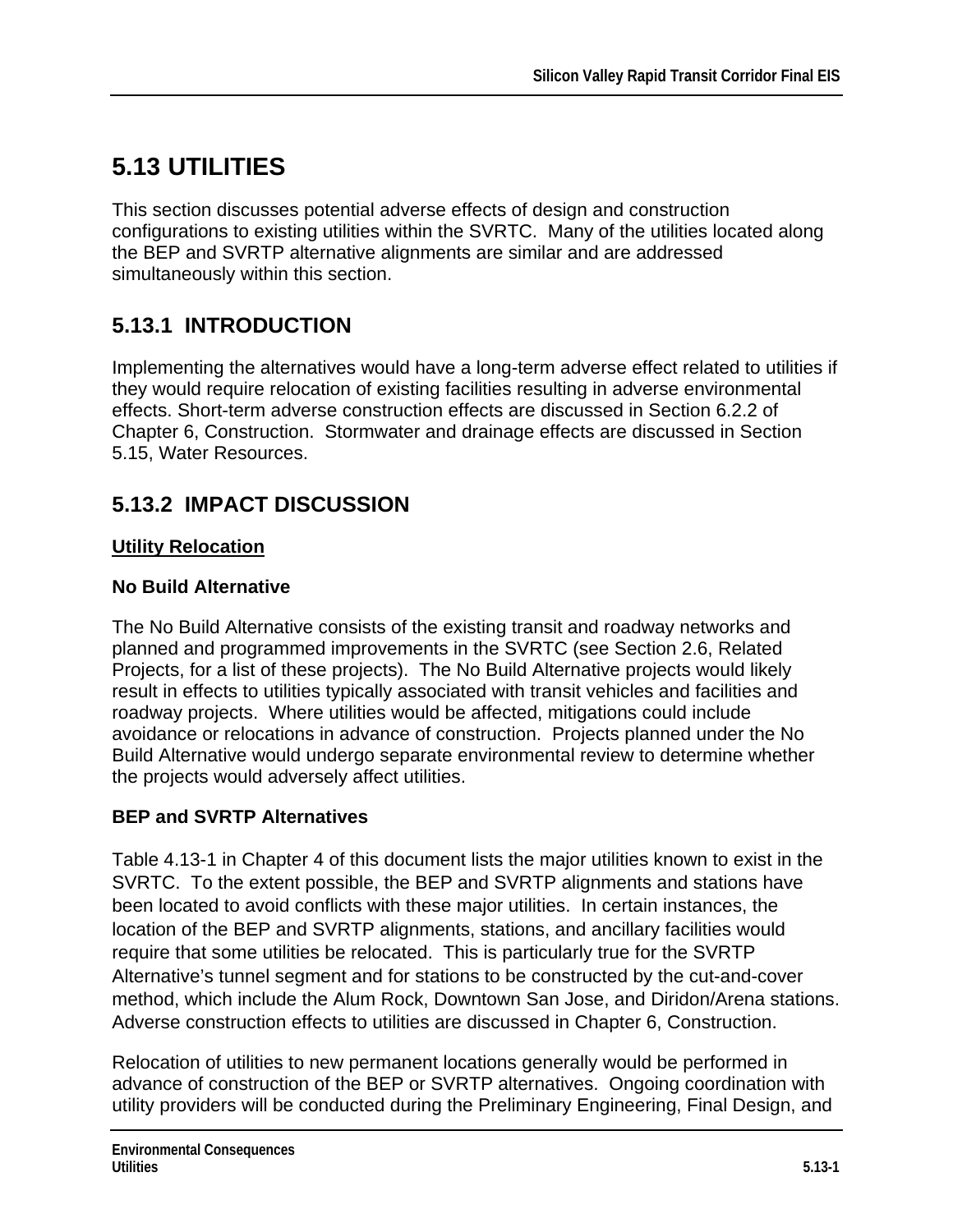# **5.13 UTILITIES**

This section discusses potential adverse effects of design and construction configurations to existing utilities within the SVRTC. Many of the utilities located along the BEP and SVRTP alternative alignments are similar and are addressed simultaneously within this section.

# **5.13.1 INTRODUCTION**

Implementing the alternatives would have a long-term adverse effect related to utilities if they would require relocation of existing facilities resulting in adverse environmental effects. Short-term adverse construction effects are discussed in Section 6.2.2 of Chapter 6, Construction. Stormwater and drainage effects are discussed in Section 5.15, Water Resources.

## **5.13.2 IMPACT DISCUSSION**

## **Utility Relocation**

### **No Build Alternative**

The No Build Alternative consists of the existing transit and roadway networks and planned and programmed improvements in the SVRTC (see Section 2.6, Related Projects, for a list of these projects). The No Build Alternative projects would likely result in effects to utilities typically associated with transit vehicles and facilities and roadway projects. Where utilities would be affected, mitigations could include avoidance or relocations in advance of construction. Projects planned under the No Build Alternative would undergo separate environmental review to determine whether the projects would adversely affect utilities.

### **BEP and SVRTP Alternatives**

Table 4.13-1 in Chapter 4 of this document lists the major utilities known to exist in the SVRTC. To the extent possible, the BEP and SVRTP alignments and stations have been located to avoid conflicts with these major utilities. In certain instances, the location of the BEP and SVRTP alignments, stations, and ancillary facilities would require that some utilities be relocated. This is particularly true for the SVRTP Alternative's tunnel segment and for stations to be constructed by the cut-and-cover method, which include the Alum Rock, Downtown San Jose, and Diridon/Arena stations. Adverse construction effects to utilities are discussed in Chapter 6, Construction.

Relocation of utilities to new permanent locations generally would be performed in advance of construction of the BEP or SVRTP alternatives. Ongoing coordination with utility providers will be conducted during the Preliminary Engineering, Final Design, and